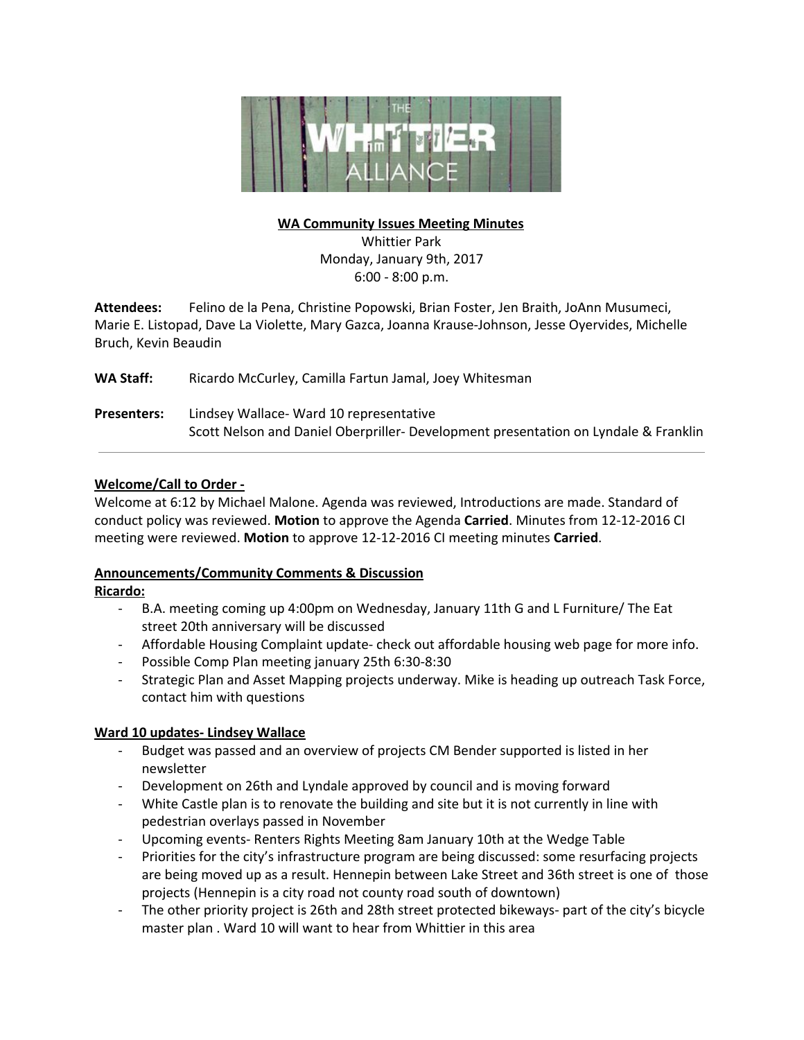

# **WA Community Issues Meeting Minutes**

Whittier Park Monday, January 9th, 2017 6:00 - 8:00 p.m.

**Attendees:** Felino de la Pena, Christine Popowski, Brian Foster, Jen Braith, JoAnn Musumeci, Marie E. Listopad, Dave La Violette, Mary Gazca, Joanna Krause-Johnson, Jesse Oyervides, Michelle Bruch, Kevin Beaudin

**WA Staff:** Ricardo McCurley, Camilla Fartun Jamal, Joey Whitesman

**Presenters:** Lindsey Wallace- Ward 10 representative Scott Nelson and Daniel Oberpriller- Development presentation on Lyndale & Franklin

# **Welcome/Call to Order -**

Welcome at 6:12 by Michael Malone. Agenda was reviewed, Introductions are made. Standard of conduct policy was reviewed. **Motion** to approve the Agenda **Carried**. Minutes from 12-12-2016 CI meeting were reviewed. **Motion** to approve 12-12-2016 CI meeting minutes **Carried**.

#### **Announcements/Community Comments & Discussion**

#### **Ricardo:**

- B.A. meeting coming up 4:00pm on Wednesday, January 11th G and L Furniture/ The Eat street 20th anniversary will be discussed
- Affordable Housing Complaint update- check out affordable housing web page for more info.
- Possible Comp Plan meeting january 25th 6:30-8:30
- Strategic Plan and Asset Mapping projects underway. Mike is heading up outreach Task Force, contact him with questions

#### **Ward 10 updates- Lindsey Wallace**

- Budget was passed and an overview of projects CM Bender supported is listed in her newsletter
- Development on 26th and Lyndale approved by council and is moving forward
- White Castle plan is to renovate the building and site but it is not currently in line with pedestrian overlays passed in November
- Upcoming events- Renters Rights Meeting 8am January 10th at the Wedge Table
- Priorities for the city's infrastructure program are being discussed: some resurfacing projects are being moved up as a result. Hennepin between Lake Street and 36th street is one of those projects (Hennepin is a city road not county road south of downtown)
- The other priority project is 26th and 28th street protected bikeways- part of the city's bicycle master plan . Ward 10 will want to hear from Whittier in this area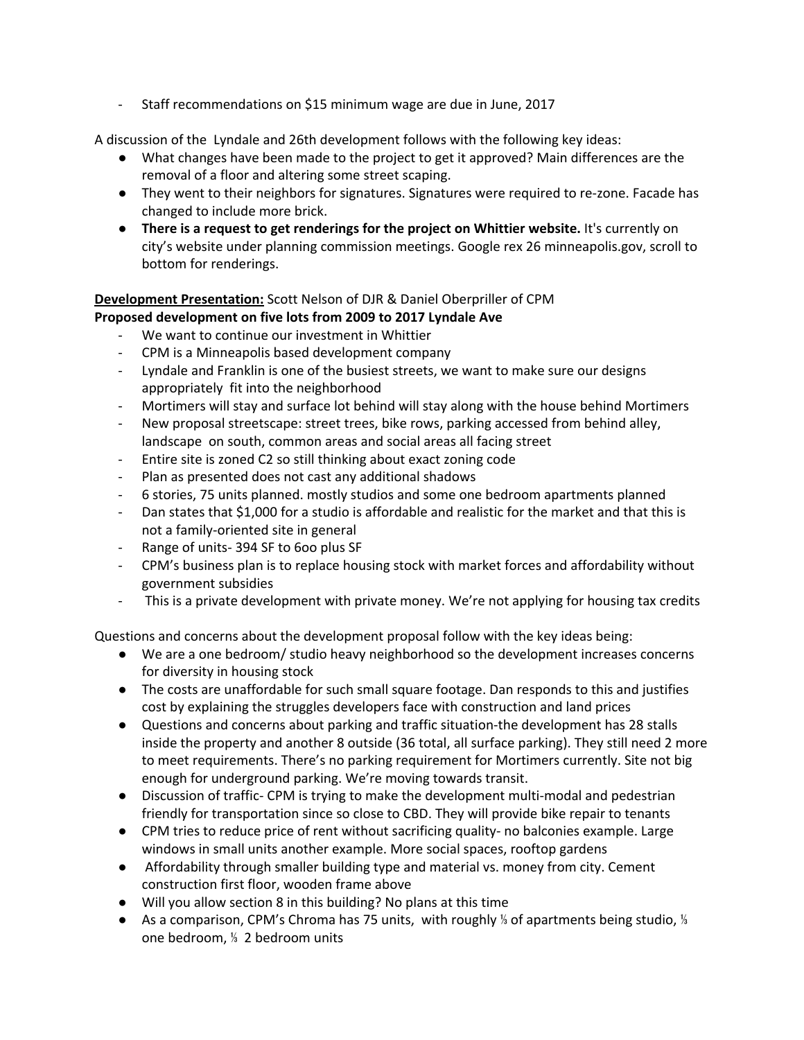- Staff recommendations on \$15 minimum wage are due in June, 2017

A discussion of the Lyndale and 26th development follows with the following key ideas:

- What changes have been made to the project to get it approved? Main differences are the removal of a floor and altering some street scaping.
- They went to their neighbors for signatures. Signatures were required to re-zone. Facade has changed to include more brick.
- **•** There is a request to get renderings for the project on Whittier website. It's currently on city's website under planning commission meetings. Google rex 26 minneapolis.gov, scroll to bottom for renderings.

# **Development Presentation:** Scott Nelson of DJR & Daniel Oberpriller of CPM

# **Proposed development on five lots from 2009 to 2017 Lyndale Ave**

- We want to continue our investment in Whittier
- CPM is a Minneapolis based development company
- Lyndale and Franklin is one of the busiest streets, we want to make sure our designs appropriately fit into the neighborhood
- Mortimers will stay and surface lot behind will stay along with the house behind Mortimers
- New proposal streetscape: street trees, bike rows, parking accessed from behind alley, landscape on south, common areas and social areas all facing street
- Entire site is zoned C2 so still thinking about exact zoning code
- Plan as presented does not cast any additional shadows
- 6 stories, 75 units planned. mostly studios and some one bedroom apartments planned
- Dan states that \$1,000 for a studio is affordable and realistic for the market and that this is not a family-oriented site in general
- Range of units- 394 SF to 6oo plus SF
- CPM's business plan is to replace housing stock with market forces and affordability without government subsidies
- This is a private development with private money. We're not applying for housing tax credits

Questions and concerns about the development proposal follow with the key ideas being:

- We are a one bedroom/ studio heavy neighborhood so the development increases concerns for diversity in housing stock
- The costs are unaffordable for such small square footage. Dan responds to this and justifies cost by explaining the struggles developers face with construction and land prices
- Questions and concerns about parking and traffic situation-the development has 28 stalls inside the property and another 8 outside (36 total, all surface parking). They still need 2 more to meet requirements. There's no parking requirement for Mortimers currently. Site not big enough for underground parking. We're moving towards transit.
- Discussion of traffic- CPM is trying to make the development multi-modal and pedestrian friendly for transportation since so close to CBD. They will provide bike repair to tenants
- CPM tries to reduce price of rent without sacrificing quality- no balconies example. Large windows in small units another example. More social spaces, rooftop gardens
- Affordability through smaller building type and material vs. money from city. Cement construction first floor, wooden frame above
- Will you allow section 8 in this building? No plans at this time
- As a comparison, CPM's Chroma has 75 units, with roughly ⅓ of apartments being studio, ⅓ one bedroom, ⅓ 2 bedroom units